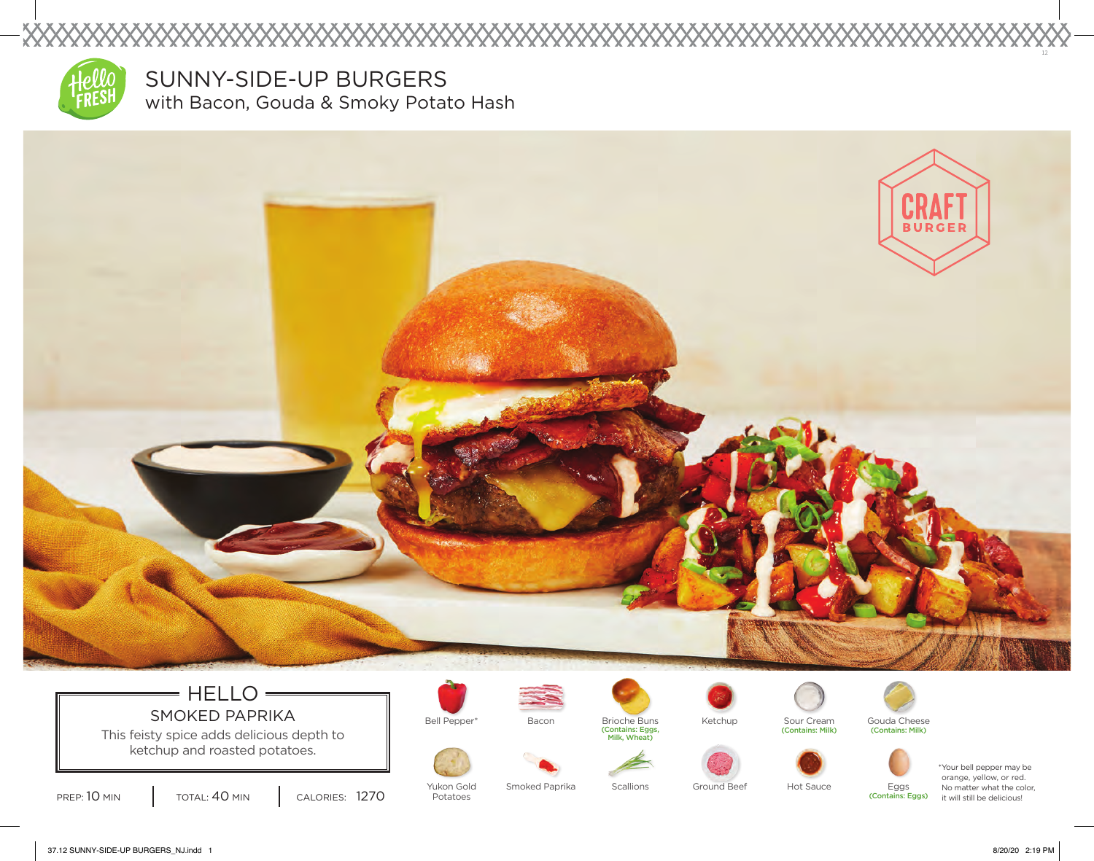

XXXXX

SUNNY-SIDE-UP BURGERS with Bacon, Gouda & Smoky Potato Hash



## $=$  HELLO  $=$ SMOKED PAPRIKA  $\parallel$  Bell Pepper\* Bacon Brioche Buns

This feisty spice adds delicious depth to ketchup and roasted potatoes.

PREP: 10 MIN | TOTAL: 40 MIN | CALORIES: 1270

Yukon Gold Potatoes



Smoked Paprika



Bacon Sour Cream (Contains: Milk)







(Contains: Eggs)



\*Your bell pepper may be orange, yellow, or red. No matter what the color, it will still be delicious!

37.12 SUNNY-SIDE-UP BURGERS\_NJ.indd 1 8/20/20 2:19 PM

12